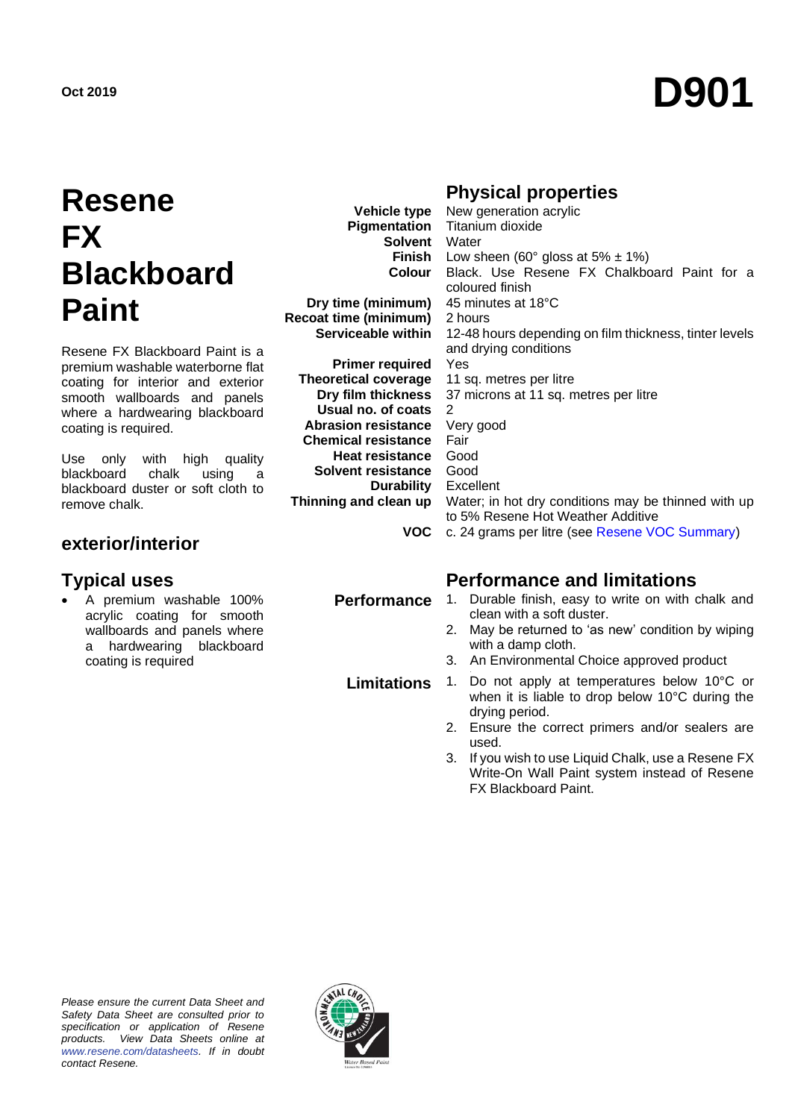# **Oct <sup>2019</sup> D901**

## **Resene FX Blackboard Paint**

Resene FX Blackboard Paint is a premium washable waterborne flat coating for interior and exterior smooth wallboards and panels where a hardwearing blackboard coating is required.

Use only with high quality blackboard chalk using a blackboard duster or soft cloth to remove chalk.

#### **exterior/interior**

• A premium washable 100% acrylic coating for smooth wallboards and panels where a hardwearing blackboard coating is required

**Vehicle type Pigmentation Solvent Finish Colour**

**Dry time (minimum) Recoat time (minimum) Serviceable within**

**Primer required Theoretical coverage Dry film thickness Usual no. of coats Abrasion resistance Chemical resistance Heat resistance Solvent resistance Durability Thinning and clean up**

#### **Physical properties**

**VOC** c. 24 grams per litre (see [Resene VOC Summary\)](http://www.resene.co.nz/archspec/datashts/vocsummary.pdf) New generation acrylic Titanium dioxide **Water** Low sheen (60 $\degree$  gloss at 5%  $\pm$  1%) Black. Use Resene FX Chalkboard Paint for a coloured finish 45 minutes at 18°C 2 hours 12-48 hours depending on film thickness, tinter levels and drying conditions Yes 11 sq. metres per litre 37 microns at 11 sq. metres per litre 2 Very good Fair Good Good Excellent Water; in hot dry conditions may be thinned with up to 5% Resene Hot Weather Additive

#### **Typical uses Performance and limitations**

- **Performance** 1. Durable finish, easy to write on with chalk and clean with a soft duster.
	- 2. May be returned to 'as new' condition by wiping with a damp cloth.
	- 3. An Environmental Choice approved product

**Limitations** 1. Do not apply at temperatures below 10°C or when it is liable to drop below 10°C during the drying period.

- 2. Ensure the correct primers and/or sealers are used.
- 3. If you wish to use Liquid Chalk, use a Resene FX Write-On Wall Paint system instead of Resene FX Blackboard Paint.